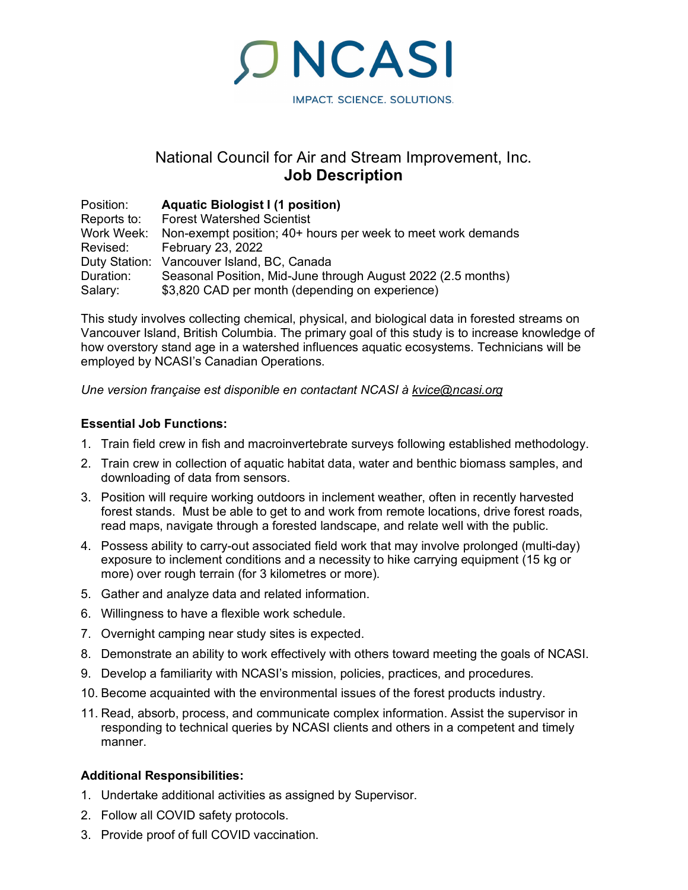**ONCASI** IMPACT. SCIENCE. SOLUTIONS.

# National Council for Air and Stream Improvement, Inc. **Job Description**

| Position:   | <b>Aquatic Biologist I (1 position)</b>                      |
|-------------|--------------------------------------------------------------|
| Reports to: | <b>Forest Watershed Scientist</b>                            |
| Work Week:  | Non-exempt position; 40+ hours per week to meet work demands |
| Revised:    | <b>February 23, 2022</b>                                     |
|             | Duty Station: Vancouver Island, BC, Canada                   |
| Duration:   | Seasonal Position, Mid-June through August 2022 (2.5 months) |
| Salary:     | \$3,820 CAD per month (depending on experience)              |

This study involves collecting chemical, physical, and biological data in forested streams on Vancouver Island, British Columbia. The primary goal of this study is to increase knowledge of how overstory stand age in a watershed influences aquatic ecosystems. Technicians will be employed by NCASI's Canadian Operations.

*Une version française est disponible en contactant NCASI à [kvice@ncasi.org](mailto:kvice@ncasi.org)*

## **Essential Job Functions:**

- 1. Train field crew in fish and macroinvertebrate surveys following established methodology.
- 2. Train crew in collection of aquatic habitat data, water and benthic biomass samples, and downloading of data from sensors.
- 3. Position will require working outdoors in inclement weather, often in recently harvested forest stands. Must be able to get to and work from remote locations, drive forest roads, read maps, navigate through a forested landscape, and relate well with the public.
- 4. Possess ability to carry-out associated field work that may involve prolonged (multi-day) exposure to inclement conditions and a necessity to hike carrying equipment (15 kg or more) over rough terrain (for 3 kilometres or more).
- 5. Gather and analyze data and related information.
- 6. Willingness to have a flexible work schedule.
- 7. Overnight camping near study sites is expected.
- 8. Demonstrate an ability to work effectively with others toward meeting the goals of NCASI.
- 9. Develop a familiarity with NCASI's mission, policies, practices, and procedures.
- 10. Become acquainted with the environmental issues of the forest products industry.
- 11. Read, absorb, process, and communicate complex information. Assist the supervisor in responding to technical queries by NCASI clients and others in a competent and timely manner.

## **Additional Responsibilities:**

- 1. Undertake additional activities as assigned by Supervisor.
- 2. Follow all COVID safety protocols.
- 3. Provide proof of full COVID vaccination.